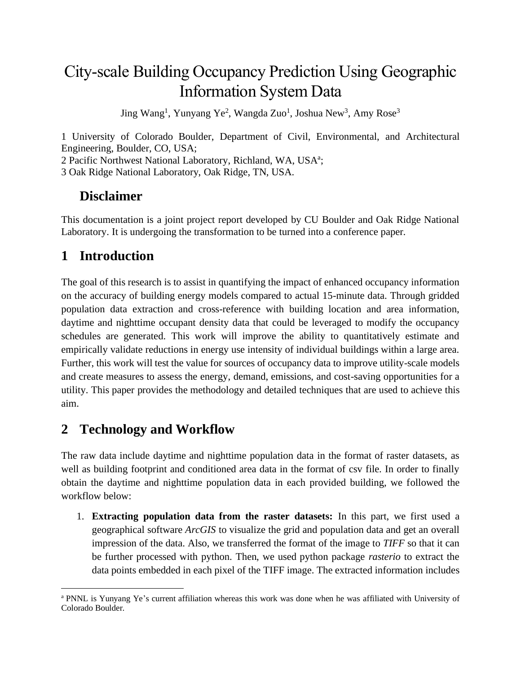# City-scale Building Occupancy Prediction Using Geographic Information System Data

Jing Wang<sup>1</sup>, Yunyang Ye<sup>2</sup>, Wangda Zuo<sup>1</sup>, Joshua New<sup>3</sup>, Amy Rose<sup>3</sup>

1 University of Colorado Boulder, Department of Civil, Environmental, and Architectural Engineering, Boulder, CO, USA; 2 Pacific Northwest National Laboratory, Richland, WA, USA<sup>a</sup>; 3 Oak Ridge National Laboratory, Oak Ridge, TN, USA.

### **Disclaimer**

This documentation is a joint project report developed by CU Boulder and Oak Ridge National Laboratory. It is undergoing the transformation to be turned into a conference paper.

## **1 Introduction**

The goal of this research is to assist in quantifying the impact of enhanced occupancy information on the accuracy of building energy models compared to actual 15-minute data. Through gridded population data extraction and cross-reference with building location and area information, daytime and nighttime occupant density data that could be leveraged to modify the occupancy schedules are generated. This work will improve the ability to quantitatively estimate and empirically validate reductions in energy use intensity of individual buildings within a large area. Further, this work will test the value for sources of occupancy data to improve utility-scale models and create measures to assess the energy, demand, emissions, and cost-saving opportunities for a utility. This paper provides the methodology and detailed techniques that are used to achieve this aim.

### **2 Technology and Workflow**

The raw data include daytime and nighttime population data in the format of raster datasets, as well as building footprint and conditioned area data in the format of csv file. In order to finally obtain the daytime and nighttime population data in each provided building, we followed the workflow below:

1. **Extracting population data from the raster datasets:** In this part, we first used a geographical software *ArcGIS* to visualize the grid and population data and get an overall impression of the data. Also, we transferred the format of the image to *TIFF* so that it can be further processed with python. Then, we used python package *rasterio* to extract the data points embedded in each pixel of the TIFF image. The extracted information includes

<sup>a</sup> PNNL is Yunyang Ye's current affiliation whereas this work was done when he was affiliated with University of Colorado Boulder.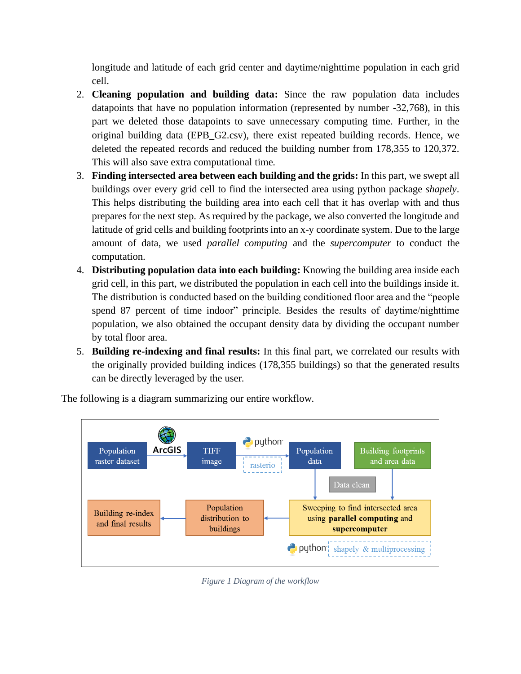longitude and latitude of each grid center and daytime/nighttime population in each grid cell.

- 2. **Cleaning population and building data:** Since the raw population data includes datapoints that have no population information (represented by number -32,768), in this part we deleted those datapoints to save unnecessary computing time. Further, in the original building data (EPB\_G2.csv), there exist repeated building records. Hence, we deleted the repeated records and reduced the building number from 178,355 to 120,372. This will also save extra computational time.
- 3. **Finding intersected area between each building and the grids:** In this part, we swept all buildings over every grid cell to find the intersected area using python package *shapely*. This helps distributing the building area into each cell that it has overlap with and thus prepares for the next step. As required by the package, we also converted the longitude and latitude of grid cells and building footprints into an x-y coordinate system. Due to the large amount of data, we used *parallel computing* and the *supercomputer* to conduct the computation.
- 4. **Distributing population data into each building:** Knowing the building area inside each grid cell, in this part, we distributed the population in each cell into the buildings inside it. The distribution is conducted based on the building conditioned floor area and the "people spend 87 percent of time indoor" principle. Besides the results of daytime/nighttime population, we also obtained the occupant density data by dividing the occupant number by total floor area.
- 5. **Building re-indexing and final results:** In this final part, we correlated our results with the originally provided building indices (178,355 buildings) so that the generated results can be directly leveraged by the user.



The following is a diagram summarizing our entire workflow.

*Figure 1 Diagram of the workflow*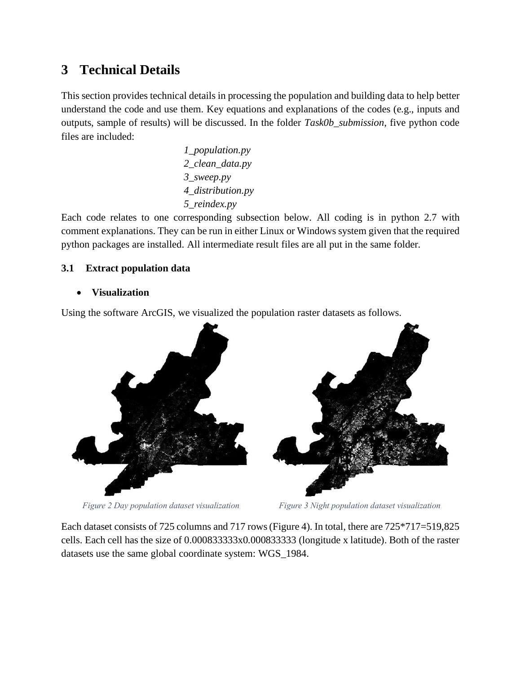## **3 Technical Details**

This section provides technical details in processing the population and building data to help better understand the code and use them. Key equations and explanations of the codes (e.g., inputs and outputs, sample of results) will be discussed. In the folder *Task0b\_submission*, five python code files are included:

> *1\_population.py 2\_clean\_data.py 3\_sweep.py 4\_distribution.py 5\_reindex.py*

Each code relates to one corresponding subsection below. All coding is in python 2.7 with comment explanations. They can be run in either Linux or Windows system given that the required python packages are installed. All intermediate result files are all put in the same folder.

### **3.1 Extract population data**

• **Visualization**

Using the software ArcGIS, we visualized the population raster datasets as follows.



*Figure 2 Day population dataset visualization Figure 3 Night population dataset visualization*

Each dataset consists of 725 columns and 717 rows[\(Figure 4\)](#page-3-0). In total, there are 725\*717=519,825 cells. Each cell has the size of 0.000833333x0.000833333 (longitude x latitude). Both of the raster datasets use the same global coordinate system: WGS\_1984.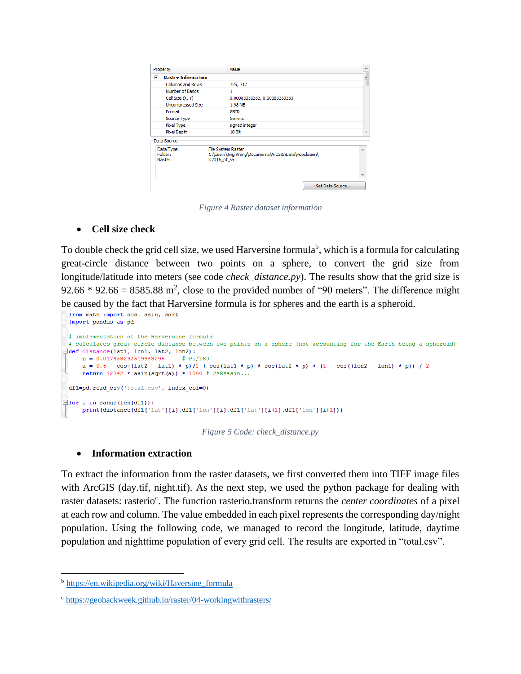| Property                         | Value                                                                                             |                 |
|----------------------------------|---------------------------------------------------------------------------------------------------|-----------------|
| <b>Raster Information</b><br>冃   |                                                                                                   | Ε               |
| <b>Columns and Rows</b>          | 725, 717                                                                                          |                 |
| Number of Bands                  | 1                                                                                                 |                 |
| Cell Size (X, Y)                 | 0.00083333333, 0.00083333333                                                                      |                 |
| <b>Uncompressed Size</b>         | 1.98 MB                                                                                           |                 |
| Format                           | <b>GRID</b>                                                                                       |                 |
| Source Type                      | Generic                                                                                           |                 |
| Pixel Type                       | signed integer                                                                                    |                 |
| Pixel Depth                      | 16 Bit                                                                                            |                 |
| Data Source                      |                                                                                                   |                 |
| Data Type:<br>Folder:<br>Raster: | <b>File System Raster</b><br>C:\Users\Jing Wang\Documents\ArcGIS\Data\Population\<br>Is2016 nt sa |                 |
|                                  |                                                                                                   |                 |
|                                  |                                                                                                   | Set Data Source |

*Figure 4 Raster dataset information*

#### <span id="page-3-0"></span>• **Cell size check**

To double check the grid cell size, we used Harversine formula<sup>b</sup>, which is a formula for calculating great-circle distance between two points on a sphere, to convert the grid size from longitude/latitude into meters (see code *check distance.py*). The results show that the grid size is 92.66  $*$  92.66 = 8585.88 m<sup>2</sup>, close to the provided number of "90 meters". The difference might be caused by the fact that Harversine formula is for spheres and the earth is a spheroid.

```
from math import cos, asin, sqrt
 import pandas as pd
 # implementation of the Harversine formula
 # calculates great-circle distance between two points on a sphere (not accounting for the Earth being a spheroid)
Edef distance(lat1, lon1, lat2, lon2):
     p = 0.017453292519943295# Pi/180a = 0.5 - cos((lat2 - lat1) * p)/2 + cos(lat1 * p) * cos(lat2 * p) * (1 - cos((lon2 - lon1) * p)) / 2return 12742 \times \text{asin}(\text{sqrt}(a)) \times 1000 \neq 2 \times R \times \text{asin...}df1=pd.read_csv('total.csv', index_col=0)
\Box for i in range (len(df1)):
     print(distance(df1['lat'][i],df1['lon'][i],df1['lat'][i+1],df1['lon'][i+1]))
```
*Figure 5 Code: check\_distance.py*

#### • **Information extraction**

To extract the information from the raster datasets, we first converted them into TIFF image files with ArcGIS (day.tif, night.tif). As the next step, we used the python package for dealing with raster datasets: rasterio<sup>c</sup>. The function rasterio.transform returns the *center coordinates* of a pixel at each row and column. The value embedded in each pixel represents the corresponding day/night population. Using the following code, we managed to record the longitude, latitude, daytime population and nighttime population of every grid cell. The results are exported in "total.csv".

<sup>&</sup>lt;sup>b</sup> [https://en.wikipedia.org/wiki/Haversine\\_formula](https://en.wikipedia.org/wiki/Haversine_formula)

<sup>c</sup> <https://geohackweek.github.io/raster/04-workingwithrasters/>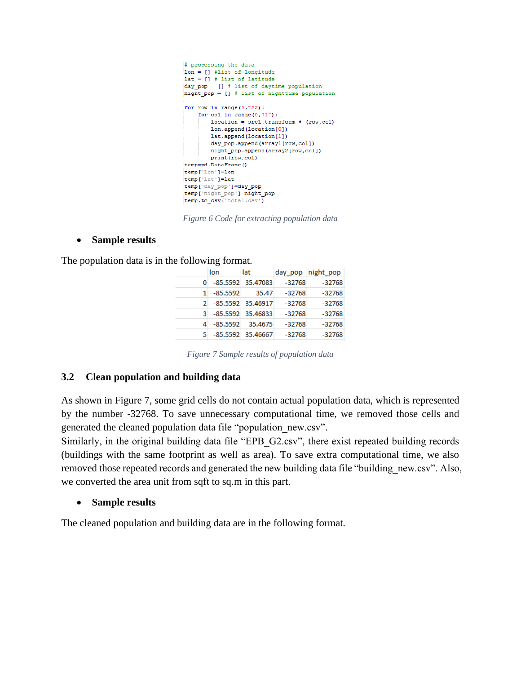```
# processing the data
lon = []#list of longitude
lat = [] # list of latitude
day pop = [] # list of daytime population
night pop = [] # list of nighttime population
for row in range(0.725):
    for col in range(0, 717):
        location = src1.transpose# (row, col)lon.append(location[0])
        lat.append(location[1])
        day_pop.append(array1[row,col])
        night_pop.append(array2[row,col])
        print(row,col)temp=pd.DataFrame()
temp['lon'l=lon
temp['lat']=lat
temp['day_pop']=day_pop
temp['night pop']=night pop
temp.to csv('total.csv')
```
*Figure 6 Code for extracting population data*

#### • **Sample results**

The population data is in the following format.

|    | lon                 | lat               |          | day pop night pop |
|----|---------------------|-------------------|----------|-------------------|
| 0  |                     | -85.5592 35.47083 | -32768   | $-32768$          |
|    | $-85.5592$          | 35.47             | -32768   | -32768            |
|    | 2 -85.5592 35.46917 |                   | $-32768$ | $-32768$          |
| 3. |                     | -85.5592 35.46833 | $-32768$ | $-32768$          |
| 4  | $-85.5592$          | 35.4675           | $-32768$ | -32768            |
| 5. |                     | -85.5592 35.46667 | $-32768$ | $-32768$          |
|    |                     |                   |          |                   |

*Figure 7 Sample results of population data*

#### <span id="page-4-0"></span>**3.2 Clean population and building data**

As shown in [Figure 7,](#page-4-0) some grid cells do not contain actual population data, which is represented by the number -32768. To save unnecessary computational time, we removed those cells and generated the cleaned population data file "population\_new.csv".

Similarly, in the original building data file "EPB\_G2.csv", there exist repeated building records (buildings with the same footprint as well as area). To save extra computational time, we also removed those repeated records and generated the new building data file "building new.csv". Also, we converted the area unit from sqft to sq.m in this part.

#### • **Sample results**

The cleaned population and building data are in the following format.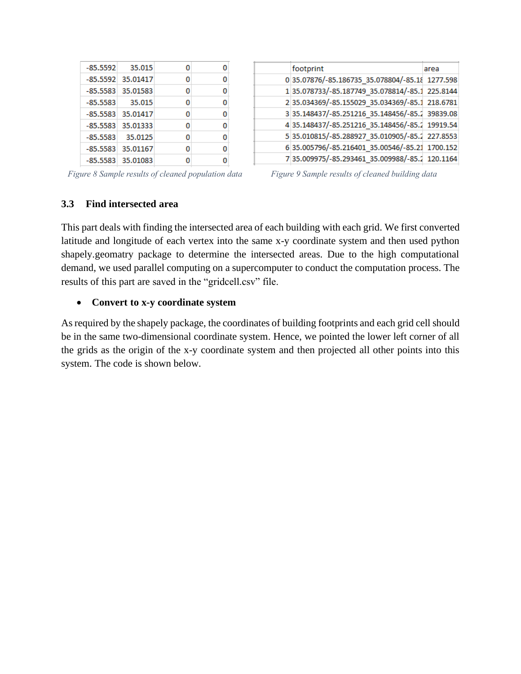|            | $-85.5592$ 35.015   | 0 | o |
|------------|---------------------|---|---|
|            | $-85.5592$ 35.01417 | 0 | 0 |
|            | $-85.5583$ 35.01583 | 0 | 0 |
| $-85.5583$ | 35.015              | 0 | 0 |
|            | $-85.5583$ 35.01417 | 0 | 0 |
|            | $-85.5583$ 35.01333 | 0 | 0 |
| $-85.5583$ | 35.0125             | 0 | 0 |
|            | $-85.5583$ 35.01167 | 0 | 0 |
|            | -85.5583 35.01083   | 0 | 0 |

| footprint                                       | area |
|-------------------------------------------------|------|
| 0 35.07876/-85.186735 35.078804/-85.18 1277.598 |      |
| 1 35.078733/-85.187749 35.078814/-85.1 225.8144 |      |
| 235.034369/-85.155029 35.034369/-85.1 218.6781  |      |
| 3 35.148437/-85.251216 35.148456/-85.2 39839.08 |      |
| 4 35.148437/-85.251216 35.148456/-85.2 19919.54 |      |
| 5 35.010815/-85.288927 35.010905/-85.2 227.8553 |      |
| 6 35.005796/-85.216401 35.00546/-85.21 1700.152 |      |
| 735.009975/-85.293461 35.009988/-85.2 120.1164  |      |

*Figure 8 Sample results of cleaned population data Figure 9 Sample results of cleaned building data*

#### **3.3 Find intersected area**

This part deals with finding the intersected area of each building with each grid. We first converted latitude and longitude of each vertex into the same x-y coordinate system and then used python shapely.geomatry package to determine the intersected areas. Due to the high computational demand, we used parallel computing on a supercomputer to conduct the computation process. The results of this part are saved in the "gridcell.csv" file.

#### • **Convert to x-y coordinate system**

As required by the shapely package, the coordinates of building footprints and each grid cell should be in the same two-dimensional coordinate system. Hence, we pointed the lower left corner of all the grids as the origin of the x-y coordinate system and then projected all other points into this system. The code is shown below.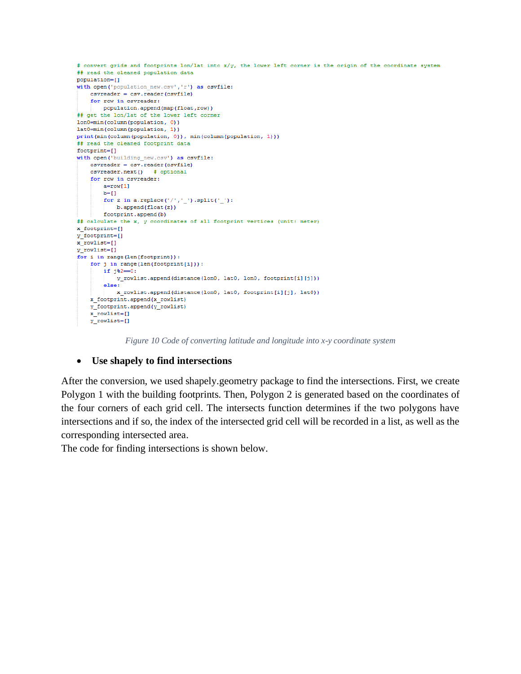```
# convert grids and footprints lon/lat into x/y, the lower left corner is the origin of the coordinate system
## read the cleaned population data
population=[]
with open ('population new.csv','r') as csvfile:
   csvreader = csv.reader(csvfile)
    for row in csvreader:
        population.append(map(float,row))
## get the lon/lat of the lower left corner
lon0=min(column(population, 0))
lat0=min(column(population, 1))
\text{print}(\min\left(\text{column}(\text{population}, \ 0)\right), \ \min\left(\text{column}(\text{population}, \ 1)\right))## read the cleaned footprint data
footprint=[]with open('building new.csv') as csvfile:
   c<sub>svreader</sub> = <math>c<sub>sv.reader</sub>(c<sub>svfile</sub>)</math>csvreader.next() # optional
    for row in csyreader:
        a=row[1]b = [ ]for z in a.replace ('/','_').split('_'):
           b.append(float(z))
        footprint.append(b)
## calculate the x, y coordinates of all footprint vertices (unit: meter)
x_footprint=[]
y_footprint=[]
x_rowlist=[]
y rowlist=[]
for i in range (len (footprint)):
    for j in range (len (footprint[i])):
        if j\frac{1}{2}=-0:
            y_rowlist.append(distance(lon0, lat0, lon0, footprint[i][j]))
        else:
            x rowlist.append(distance(lon0, lat0, footprint[i][j], lat0))
    x footprint.append(x rowlist)
    y_footprint.append(y_rowlist)
    x_rowlist=[]y_rowlist=[]
```
*Figure 10 Code of converting latitude and longitude into x-y coordinate system*

#### • **Use shapely to find intersections**

After the conversion, we used shapely.geometry package to find the intersections. First, we create Polygon 1 with the building footprints. Then, Polygon 2 is generated based on the coordinates of the four corners of each grid cell. The intersects function determines if the two polygons have intersections and if so, the index of the intersected grid cell will be recorded in a list, as well as the corresponding intersected area.

The code for finding intersections is shown below.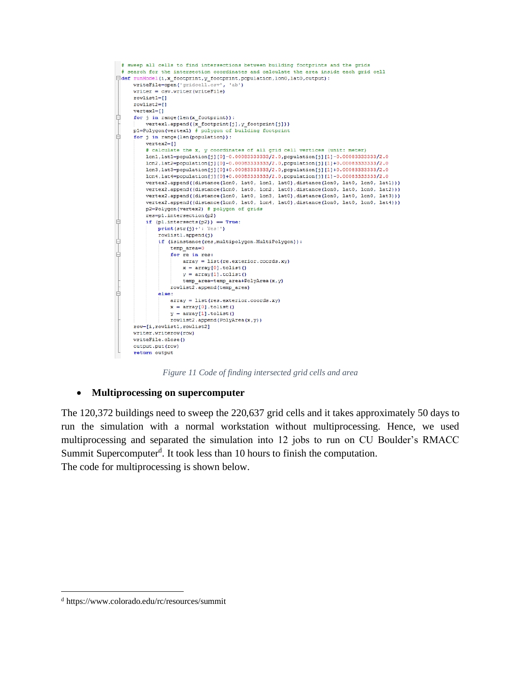

*Figure 11 Code of finding intersected grid cells and area*

#### • **Multiprocessing on supercomputer**

The 120,372 buildings need to sweep the 220,637 grid cells and it takes approximately 50 days to run the simulation with a normal workstation without multiprocessing. Hence, we used multiprocessing and separated the simulation into 12 jobs to run on CU Boulder's RMACC Summit Supercomputer<sup>d</sup>. It took less than 10 hours to finish the computation. The code for multiprocessing is shown below.

<sup>d</sup> https://www.colorado.edu/rc/resources/summit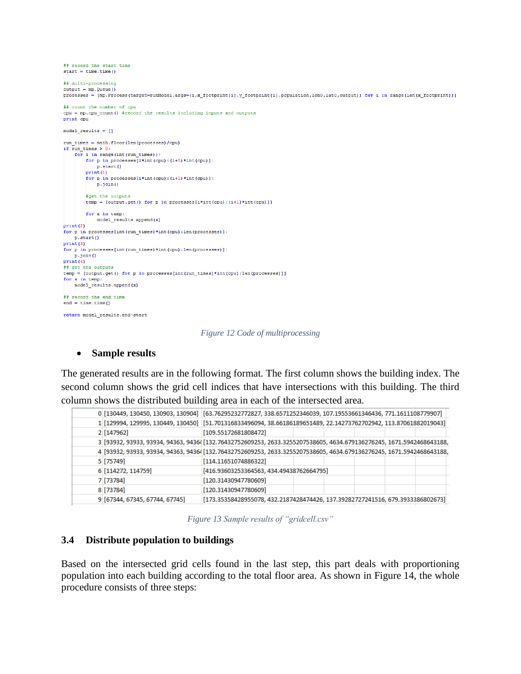```
.<br>## record the start time
start = time.time()
## multi-processing
output = mp.Queue()processes = [mp. Process (target=runModel, args=(i,x_footprint[i],y_footprint[i], population, lon0, lat0, output)) for i in range (len(x_footprint))]
## count the number of cpu
cpu = mp.cpu\_count() #record the results including inputs and outputs
print cpu
model results = [1]run_times = math.float(len(processes)/cpu)if run_time > 0:
    for i in range (int (run times)):
       for p in processes [i*int (cpu) : (i+1) *int (cpu)] :
            p.start()
        print(1)for p in processes [i*int (cpu) : (i+1) *int (cpu) ] :
           p.join()
        #get the outputs
        temp = [output.get() for p in processes[i*int(cpu):(i+1)*int(cpu)]for x in temp:
          model_results.append(x)
print(2)for p in processes [int (run_times) *int (cpu) : len (processes) ] :
   p.start()print(3)for p in processes [int (run_times) *int (cpu) : len (processes) ] :
   p.join()
print(4)## get the outputs
temp = [output.get() for p in processes[int(run_times)*int(cpu):len(processes)]]
for x in temp:
   model_results.append(x)
## record the end time
end = time.time()return model_results, end-start
```
*Figure 12 Code of multiprocessing*

#### • **Sample results**

The generated results are in the following format. The first column shows the building index. The second column shows the grid cell indices that have intersections with this building. The third column shows the distributed building area in each of the intersected area.

|  |                                | 0 [130449, 130450, 130903, 130904] [63.76295232772827, 338.6571252346039, 107.19553661346436, 771.1611108779907]         |
|--|--------------------------------|--------------------------------------------------------------------------------------------------------------------------|
|  |                                | 1 [129994, 129995, 130449, 130450] [51.701316833496094, 38.66186189651489, 22.14273762702942, 113.87061882019043]        |
|  | 2 [147962]                     | [109.55172681808472]                                                                                                     |
|  |                                | 3 [93932, 93933, 93934, 94363, 94364 [132.76432752609253, 2633.3255207538605, 4634.679136276245, 1671.5942468643188,     |
|  |                                | 4 [93932, 93933, 93934, 94363, 94364 [132, 76432752609253, 2633, 3255207538605, 4634, 679136276245, 1671, 5942468643188, |
|  | 5 [75749]                      | [114.11651074886322]                                                                                                     |
|  | 6 [114272, 114759]             | [416.93603253364563, 434.49438762664795]                                                                                 |
|  | 7 [73784]                      | [120.31430947780609]                                                                                                     |
|  | 8 [73784]                      | [120.31430947780609]                                                                                                     |
|  | 9 [67344, 67345, 67744, 67745] | [173.35358428955078, 432.2187428474426, 137.39282727241516, 679.3933386802673]                                           |

*Figure 13 Sample results of "gridcell.csv"*

#### **3.4 Distribute population to buildings**

Based on the intersected grid cells found in the last step, this part deals with proportioning population into each building according to the total floor area. As shown in [Figure 14,](#page-9-0) the whole procedure consists of three steps: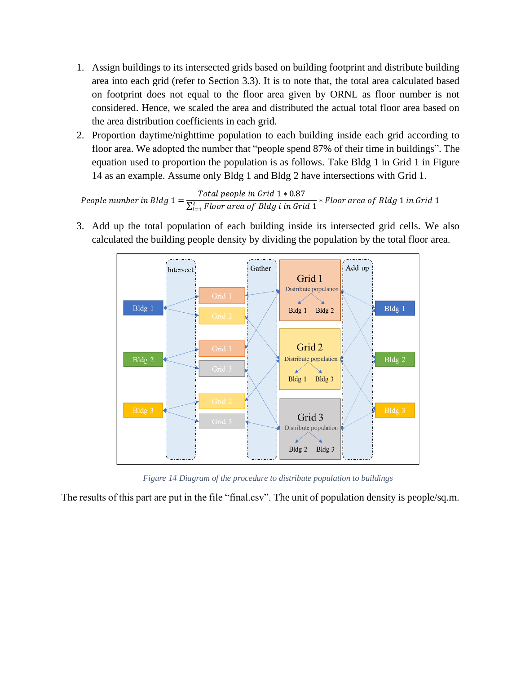- 1. Assign buildings to its intersected grids based on building footprint and distribute building area into each grid (refer to Section 3.3). It is to note that, the total area calculated based on footprint does not equal to the floor area given by ORNL as floor number is not considered. Hence, we scaled the area and distributed the actual total floor area based on the area distribution coefficients in each grid.
- 2. Proportion daytime/nighttime population to each building inside each grid according to floor area. We adopted the number that "people spend 87% of their time in buildings". The equation used to proportion the population is as follows. Take Bldg 1 in Grid 1 in [Figure](#page-9-0)  [14](#page-9-0) as an example. Assume only Bldg 1 and Bldg 2 have intersections with Grid 1.

People number in Bldg  $1 = \frac{\text{Total people in Grid 1 * 0.87}}{\sum_{i=1}^{3} \sum_{i=1}^{n} \frac{1}{\sum_{i=1}^{n} \frac{1}{\sum_{i=1}^{n} \frac{1}{\sum_{i=1}^{n} \frac{1}{\sum_{i=1}^{n} \frac{1}{\sum_{i=1}^{n} \frac{1}{\sum_{i=1}^{n} \frac{1}{\sum_{i=1}^{n} \frac{1}{\sum_{i=1}^{n} \frac{1}{\sum_{i=1}^{n} \frac{1}{\sum_{i=1}^{n} \frac{1}{\sum_{$  $\sum_{i=1}^2$ Floor area of Bldg i in Grid  $1$ ∗ Floor area of Bldg 1 in Grid 1

3. Add up the total population of each building inside its intersected grid cells. We also calculated the building people density by dividing the population by the total floor area.



*Figure 14 Diagram of the procedure to distribute population to buildings*

<span id="page-9-0"></span>The results of this part are put in the file "final.csv". The unit of population density is people/sq.m.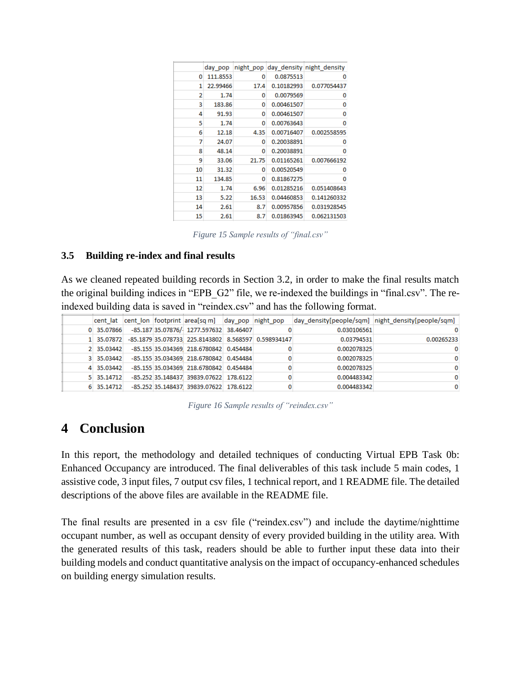|    | day pop  |       |            | night pop day density night density |
|----|----------|-------|------------|-------------------------------------|
| 0  | 111.8553 | 0     | 0.0875513  | o                                   |
| 1  | 22.99466 | 17.4  | 0.10182993 | 0.077054437                         |
| 2  | 1.74     | 0     | 0.0079569  | o                                   |
| 3  | 183.86   | o     | 0.00461507 | o                                   |
| 4  | 91.93    | o     | 0.00461507 | 0                                   |
| 5  | 1.74     | 0     | 0.00763643 | o                                   |
| 6  | 12.18    | 4.35  | 0.00716407 | 0.002558595                         |
| 7  | 24.07    | o     | 0.20038891 | 0                                   |
| 8  | 48.14    | o     | 0.20038891 | o                                   |
| 9  | 33.06    | 21.75 | 0.01165261 | 0.007666192                         |
| 10 | 31.32    | o     | 0.00520549 | 0                                   |
| 11 | 134.85   | o     | 0.81867275 | n                                   |
| 12 | 1.74     | 6.96  | 0.01285216 | 0.051408643                         |
| 13 | 5.22     | 16.53 | 0.04460853 | 0.141260332                         |
| 14 | 2.61     | 8.7   | 0.00957856 | 0.031928545                         |
| 15 | 2.61     | 8.7   | 0.01863945 | 0.062131503                         |
|    |          |       |            |                                     |

*Figure 15 Sample results of "final.csv"*

#### **3.5 Building re-index and final results**

As we cleaned repeated building records in Section 3.2, in order to make the final results match the original building indices in "EPB\_G2" file, we re-indexed the buildings in "final.csv". The reindexed building data is saved in "reindex.csv" and has the following format.

|  |            |  | cent lat cent lon footprint area[sq m] day pop night pop       |  |             | day_density[people/sqm]  night_density[people/sqm] |
|--|------------|--|----------------------------------------------------------------|--|-------------|----------------------------------------------------|
|  | 0 35.07866 |  | -85.187 35.07876/ 1277.597632 38.46407                         |  | 0.030106561 | 0                                                  |
|  |            |  | 1 35.07872 -85.1879 35.078733 225.8143802 8.568597 0.598934147 |  | 0.03794531  | 0.00265233                                         |
|  | 2 35.03442 |  | -85.155 35.034369 218.6780842 0.454484                         |  | 0.002078325 | o                                                  |
|  | 3 35.03442 |  | -85.155 35.034369 218.6780842 0.454484                         |  | 0.002078325 | o                                                  |
|  | 4 35.03442 |  | -85.155 35.034369 218.6780842 0.454484                         |  | 0.002078325 | o                                                  |
|  | 5 35,14712 |  | -85.252 35.148437 39839.07622 178.6122                         |  | 0.004483342 | o                                                  |
|  | 6 35.14712 |  | -85.252 35.148437 39839.07622 178.6122                         |  | 0.004483342 | 0                                                  |
|  |            |  |                                                                |  |             |                                                    |

*Figure 16 Sample results of "reindex.csv"*

### **4 Conclusion**

In this report, the methodology and detailed techniques of conducting Virtual EPB Task 0b: Enhanced Occupancy are introduced. The final deliverables of this task include 5 main codes, 1 assistive code, 3 input files, 7 output csv files, 1 technical report, and 1 README file. The detailed descriptions of the above files are available in the README file.

The final results are presented in a csv file ("reindex.csv") and include the daytime/nighttime occupant number, as well as occupant density of every provided building in the utility area. With the generated results of this task, readers should be able to further input these data into their building models and conduct quantitative analysis on the impact of occupancy-enhanced schedules on building energy simulation results.